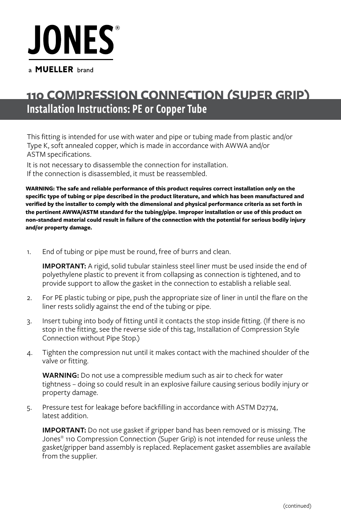# **JONES**

#### a **MUELLER** brand

## Installation Instructions: PE or Copper Tube **110 COMPRESSION CONNECTION (SUPER GRIP)**

This fitting is intended for use with water and pipe or tubing made from plastic and/or Type K, soft annealed copper, which is made in accordance with AWWA and/or ASTM specifications.

It is not necessary to disassemble the connection for installation. If the connection is disassembled, it must be reassembled.

**WARNING: The safe and reliable performance of this product requires correct installation only on the specific type of tubing or pipe described in the product literature, and which has been manufactured and verified by the installer to comply with the dimensional and physical performance criteria as set forth in the pertinent AWWA/ASTM standard for the tubing/pipe. Improper installation or use of this product on non-standard material could result in failure of the connection with the potential for serious bodily injury and/or property damage.**

1. End of tubing or pipe must be round, free of burrs and clean.

**IMPORTANT:** A rigid, solid tubular stainless steel liner must be used inside the end of polyethylene plastic to prevent it from collapsing as connection is tightened, and to provide support to allow the gasket in the connection to establish a reliable seal.

- 2. For PE plastic tubing or pipe, push the appropriate size of liner in until the flare on the liner rests solidly against the end of the tubing or pipe.
- 3. Insert tubing into body of fitting until it contacts the stop inside fitting. (If there is no stop in the fitting, see the reverse side of this tag, Installation of Compression Style Connection without Pipe Stop.)
- 4. Tighten the compression nut until it makes contact with the machined shoulder of the valve or fitting.

**WARNING:** Do not use a compressible medium such as air to check for water tightness – doing so could result in an explosive failure causing serious bodily injury or property damage.

5. Pressure test for leakage before backfilling in accordance with ASTM D2774, latest addition.

**IMPORTANT:** Do not use gasket if gripper band has been removed or is missing. The Jones® 110 Compression Connection (Super Grip) is not intended for reuse unless the gasket/gripper band assembly is replaced. Replacement gasket assemblies are available from the supplier.